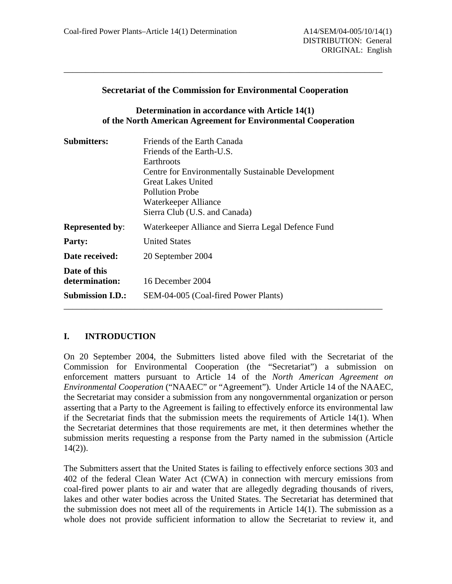#### **Secretariat of the Commission for Environmental Cooperation**

\_\_\_\_\_\_\_\_\_\_\_\_\_\_\_\_\_\_\_\_\_\_\_\_\_\_\_\_\_\_\_\_\_\_\_\_\_\_\_\_\_\_\_\_\_\_\_\_\_\_\_\_\_\_\_\_\_\_\_\_\_\_\_\_\_\_\_\_\_\_\_\_

### **Determination in accordance with Article 14(1) of the North American Agreement for Environmental Cooperation**

| <b>Submitters:</b>                                        | Friends of the Earth Canada<br>Friends of the Earth-U.S.<br>Earthroots<br>Centre for Environmentally Sustainable Development<br><b>Great Lakes United</b><br><b>Pollution Probe</b><br>Waterkeeper Alliance<br>Sierra Club (U.S. and Canada) |
|-----------------------------------------------------------|----------------------------------------------------------------------------------------------------------------------------------------------------------------------------------------------------------------------------------------------|
| <b>Represented by:</b>                                    | Waterkeeper Alliance and Sierra Legal Defence Fund                                                                                                                                                                                           |
| <b>Party:</b>                                             | <b>United States</b>                                                                                                                                                                                                                         |
| Date received:                                            | 20 September 2004                                                                                                                                                                                                                            |
| Date of this<br>determination:<br><b>Submission I.D.:</b> | 16 December 2004<br>SEM-04-005 (Coal-fired Power Plants)                                                                                                                                                                                     |

## **I. INTRODUCTION**

On 20 September 2004, the Submitters listed above filed with the Secretariat of the Commission for Environmental Cooperation (the "Secretariat") a submission on enforcement matters pursuant to Article 14 of the *North American Agreement on Environmental Cooperation* ("NAAEC" or "Agreement")*.* Under Article 14 of the NAAEC*,*  the Secretariat may consider a submission from any nongovernmental organization or person asserting that a Party to the Agreement is failing to effectively enforce its environmental law if the Secretariat finds that the submission meets the requirements of Article 14(1). When the Secretariat determines that those requirements are met, it then determines whether the submission merits requesting a response from the Party named in the submission (Article  $14(2)$ ).

The Submitters assert that the United States is failing to effectively enforce sections 303 and 402 of the federal Clean Water Act (CWA) in connection with mercury emissions from coal-fired power plants to air and water that are allegedly degrading thousands of rivers, lakes and other water bodies across the United States. The Secretariat has determined that the submission does not meet all of the requirements in Article  $14(1)$ . The submission as a whole does not provide sufficient information to allow the Secretariat to review it, and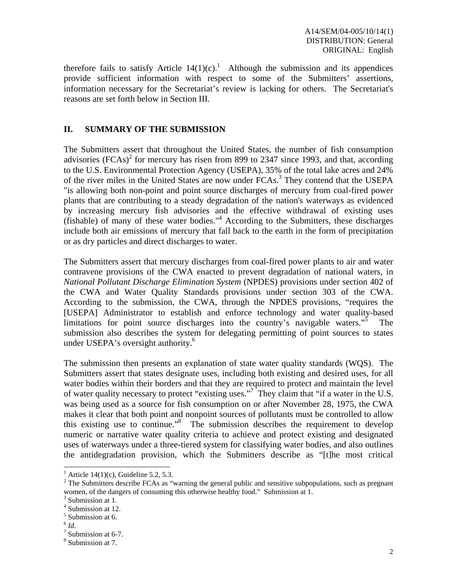therefore fails to satisfy Article  $14(1)(c)$ .<sup>1</sup> Although the submission and its appendices provide sufficient information with respect to some of the Submitters' assertions, information necessary for the Secretariat's review is lacking for others. The Secretariat's reasons are set forth below in Section III.

### **II. SUMMARY OF THE SUBMISSION**

The Submitters assert that throughout the United States, the number of fish consumption advisories  $(FCAs)^2$  for mercury has risen from 899 to 2347 since 1993, and that, according to the U.S. Environmental Protection Agency (USEPA), 35% of the total lake acres and 24% of the river miles in the United States are now under FCAs.<sup>3</sup> They contend that the USEPA "is allowing both non-point and point source discharges of mercury from coal-fired power plants that are contributing to a steady degradation of the nation's waterways as evidenced by increasing mercury fish advisories and the effective withdrawal of existing uses (fishable) of many of these water bodies."4 According to the Submitters, these discharges include both air emissions of mercury that fall back to the earth in the form of precipitation or as dry particles and direct discharges to water.

The Submitters assert that mercury discharges from coal-fired power plants to air and water contravene provisions of the CWA enacted to prevent degradation of national waters, in *National Pollutant Discharge Elimination System* (NPDES) provisions under section 402 of the CWA and Water Quality Standards provisions under section 303 of the CWA. According to the submission, the CWA, through the NPDES provisions, "requires the [USEPA] Administrator to establish and enforce technology and water quality-based limitations for point source discharges into the country's navigable waters."5 The submission also describes the system for delegating permitting of point sources to states under USEPA's oversight authority.<sup>6</sup>

The submission then presents an explanation of state water quality standards (WQS). The Submitters assert that states designate uses, including both existing and desired uses, for all water bodies within their borders and that they are required to protect and maintain the level of water quality necessary to protect "existing uses."<sup>7</sup> They claim that "if a water in the U.S. was being used as a source for fish consumption on or after November 28, 1975, the CWA makes it clear that both point and nonpoint sources of pollutants must be controlled to allow this existing use to continue."8 The submission describes the requirement to develop numeric or narrative water quality criteria to achieve and protect existing and designated uses of waterways under a three-tiered system for classifying water bodies, and also outlines the antidegradation provision, which the Submitters describe as "[t]he most critical

<sup>&</sup>lt;sup>1</sup> Article 14(1)(c), Guideline 5.2, 5.3.

 $2^2$  The Submitters describe FCAs as "warning the general public and sensitive subpopulations, such as pregnant women, of the dangers of consuming this otherwise healthy food." Submission at 1.

<sup>&</sup>lt;sup>3</sup> Submission at 1.

<sup>4</sup> Submission at 12.

<sup>5</sup> Submission at 6.

 $^6$   $\mathit{Id}.$ 

 $7$  Submission at 6-7.

<sup>8</sup> Submission at 7.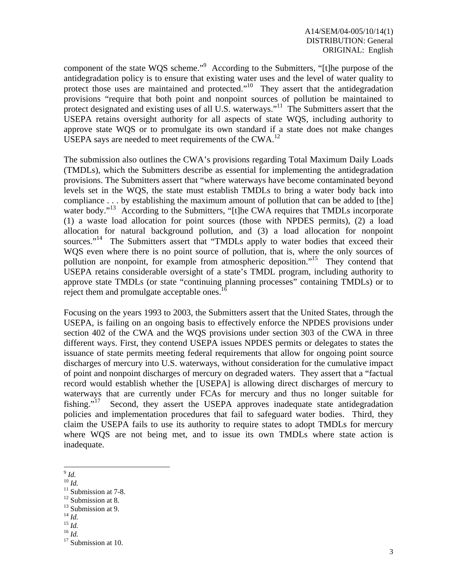component of the state WQS scheme."<sup>9</sup> According to the Submitters, "[t]he purpose of the antidegradation policy is to ensure that existing water uses and the level of water quality to protect those uses are maintained and protected."<sup>10</sup> They assert that the antidegradation provisions "require that both point and nonpoint sources of pollution be maintained to protect designated and existing uses of all U.S. waterways."<sup>11</sup> The Submitters assert that the USEPA retains oversight authority for all aspects of state WQS, including authority to approve state WQS or to promulgate its own standard if a state does not make changes USEPA says are needed to meet requirements of the CWA.<sup>12</sup>

The submission also outlines the CWA's provisions regarding Total Maximum Daily Loads (TMDLs), which the Submitters describe as essential for implementing the antidegradation provisions. The Submitters assert that "where waterways have become contaminated beyond levels set in the WQS, the state must establish TMDLs to bring a water body back into compliance . . . by establishing the maximum amount of pollution that can be added to [the] water body."<sup>13</sup> According to the Submitters, "[t]he CWA requires that TMDLs incorporate (1) a waste load allocation for point sources (those with NPDES permits), (2) a load allocation for natural background pollution, and (3) a load allocation for nonpoint sources."<sup>14</sup> The Submitters assert that "TMDLs apply to water bodies that exceed their WQS even where there is no point source of pollution, that is, where the only sources of pollution are nonpoint, for example from atmospheric deposition."<sup>15</sup> They contend that USEPA retains considerable oversight of a state's TMDL program, including authority to approve state TMDLs (or state "continuing planning processes" containing TMDLs) or to reject them and promulgate acceptable ones.<sup>16</sup>

Focusing on the years 1993 to 2003, the Submitters assert that the United States, through the USEPA, is failing on an ongoing basis to effectively enforce the NPDES provisions under section 402 of the CWA and the WQS provisions under section 303 of the CWA in three different ways. First, they contend USEPA issues NPDES permits or delegates to states the issuance of state permits meeting federal requirements that allow for ongoing point source discharges of mercury into U.S. waterways, without consideration for the cumulative impact of point and nonpoint discharges of mercury on degraded waters. They assert that a "factual record would establish whether the [USEPA] is allowing direct discharges of mercury to waterways that are currently under FCAs for mercury and thus no longer suitable for fishing."<sup>17</sup> Second, they assert the USEPA approves inadequate state antidegradation policies and implementation procedures that fail to safeguard water bodies. Third, they claim the USEPA fails to use its authority to require states to adopt TMDLs for mercury where WOS are not being met, and to issue its own TMDLs where state action is inadequate.

- l <sup>9</sup> *Id.*
- 

 $\frac{10}{10}$ *Id.*<br><sup>11</sup> Submission at 7-8.

<sup>&</sup>lt;sup>12</sup> Submission at 8.

<sup>&</sup>lt;sup>13</sup> Submission at 9.<br><sup>14</sup> *Id.*<br><sup>15</sup> *Id.* 

<sup>14</sup> *Id.* <sup>15</sup> *Id.* <sup>16</sup> *Id.* 17 Submission at 10.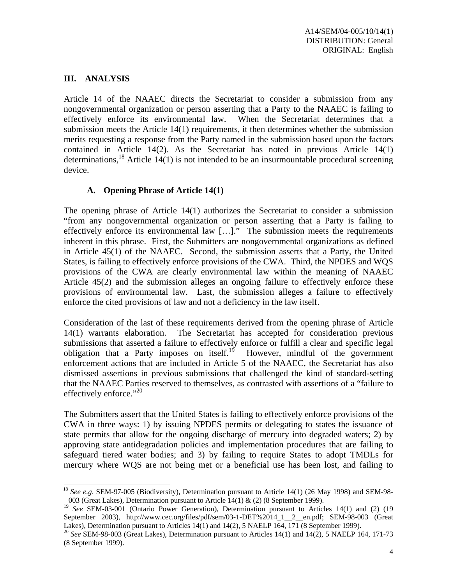### **III. ANALYSIS**

l

Article 14 of the NAAEC directs the Secretariat to consider a submission from any nongovernmental organization or person asserting that a Party to the NAAEC is failing to effectively enforce its environmental law. When the Secretariat determines that a submission meets the Article 14(1) requirements, it then determines whether the submission merits requesting a response from the Party named in the submission based upon the factors contained in Article  $14(2)$ . As the Secretariat has noted in previous Article  $14(1)$ determinations,<sup>18</sup> Article 14(1) is not intended to be an insurmountable procedural screening device.

### **A. Opening Phrase of Article 14(1)**

The opening phrase of Article 14(1) authorizes the Secretariat to consider a submission "from any nongovernmental organization or person asserting that a Party is failing to effectively enforce its environmental law […]." The submission meets the requirements inherent in this phrase. First, the Submitters are nongovernmental organizations as defined in Article 45(1) of the NAAEC. Second, the submission asserts that a Party, the United States, is failing to effectively enforce provisions of the CWA. Third, the NPDES and WQS provisions of the CWA are clearly environmental law within the meaning of NAAEC Article 45(2) and the submission alleges an ongoing failure to effectively enforce these provisions of environmental law.Last, the submission alleges a failure to effectively enforce the cited provisions of law and not a deficiency in the law itself.

Consideration of the last of these requirements derived from the opening phrase of Article 14(1) warrants elaboration. The Secretariat has accepted for consideration previous submissions that asserted a failure to effectively enforce or fulfill a clear and specific legal obligation that a Party imposes on itself.<sup>19</sup> However, mindful of the government enforcement actions that are included in Article 5 of the NAAEC, the Secretariat has also dismissed assertions in previous submissions that challenged the kind of standard-setting that the NAAEC Parties reserved to themselves, as contrasted with assertions of a "failure to effectively enforce." $^{20}$ 

The Submitters assert that the United States is failing to effectively enforce provisions of the CWA in three ways: 1) by issuing NPDES permits or delegating to states the issuance of state permits that allow for the ongoing discharge of mercury into degraded waters; 2) by approving state antidegradation policies and implementation procedures that are failing to safeguard tiered water bodies; and 3) by failing to require States to adopt TMDLs for mercury where WQS are not being met or a beneficial use has been lost, and failing to

<sup>18</sup> *See e.g*. SEM-97-005 (Biodiversity), Determination pursuant to Article 14(1) (26 May 1998) and SEM-98- 003 (Great Lakes), Determination pursuant to Article 14(1) & (2) (8 September 1999).

<sup>&</sup>lt;sup>19</sup> See SEM-03-001 (Ontario Power Generation), Determination pursuant to Articles 14(1) and (2) (19 September 2003), http://www.cec.org/files/pdf/sem/03-1-DET%2014\_1\_\_2\_\_en.pdf; SEM-98-003 (Great Lakes), Determination pursuant to Articles 14(1) and 14(2), 5 NAELP 164, 171 (8 September 1999).

<sup>&</sup>lt;sup>20</sup> *See* SEM-98-003 (Great Lakes), Determination pursuant to Articles 14(1) and 14(2), 5 NAELP 164, 171-73 (8 September 1999).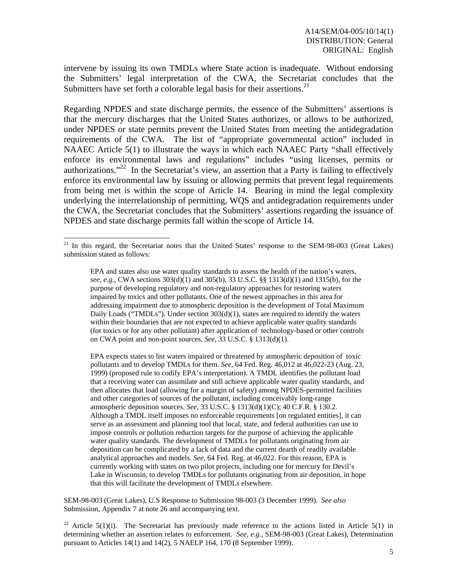intervene by issuing its own TMDLs where State action is inadequate. Without endorsing the Submitters' legal interpretation of the CWA, the Secretariat concludes that the Submitters have set forth a colorable legal basis for their assertions.<sup>21</sup>

Regarding NPDES and state discharge permits, the essence of the Submitters' assertions is that the mercury discharges that the United States authorizes, or allows to be authorized, under NPDES or state permits prevent the United States from meeting the antidegradation requirements of the CWA. The list of "appropriate governmental action" included in NAAEC Article 5(1) to illustrate the ways in which each NAAEC Party "shall effectively enforce its environmental laws and regulations" includes "using licenses, permits or authorizations."22 In the Secretariat's view, an assertion that a Party is failing to effectively enforce its environmental law by issuing or allowing permits that prevent legal requirements from being met is within the scope of Article 14. Bearing in mind the legal complexity underlying the interrelationship of permitting, WQS and antidegradation requirements under the CWA, the Secretariat concludes that the Submitters' assertions regarding the issuance of NPDES and state discharge permits fall within the scope of Article 14.

l

EPA expects states to list waters impaired or threatened by atmospheric deposition of toxic pollutants and to develop TMDLs for them. *See*, 64 Fed. Reg. 46,012 at 46,022-23 (Aug. 23, 1999) (proposed rule to codify EPA's interpretation). A TMDL identifies the pollutant load that a receiving water can assimilate and still achieve applicable water quality standards, and then allocates that load (allowing for a margin of safety) among NPDES-permitted facilities and other categories of sources of the pollutant, including conceivably long-range atmospheric deposition sources. *See*, 33 U.S.C. § 1313(d)(1)(C); 40 C.F.R. § 130.2. Although a TMDL itself imposes no enforceable requirements [on regulated entities], it can serve as an assessment and planning tool that local, state, and federal authorities can use to impose controls or pollution reduction targets for the purpose of achieving the applicable water quality standards. The development of TMDLs for pollutants originating from air deposition can be complicated by a lack of data and the current dearth of readily available analytical approaches and models. *See*, 64 Fed. Reg. at 46,022. For this reason, EPA is currently working with states on two pilot projects, including one for mercury for Devil's Lake in Wisconsin, to develop TMDLs for pollutants originating from air deposition, in hope that this will facilitate the development of TMDLs elsewhere.

SEM-98-003 (Great Lakes), U.S Response to Submission 98-003 (3 December 1999). *See also* Submission, Appendix 7 at note 26 and accompanying text.

<sup>22</sup> Article 5(1)(i). The Secretariat has previously made reference to the actions listed in Article 5(1) in determining whether an assertion relates to enforcement. *See, e.g.,* SEM-98-003 (Great Lakes), Determination pursuant to Articles 14(1) and 14(2), 5 NAELP 164, 170 (8 September 1999).

<sup>&</sup>lt;sup>21</sup> In this regard, the Secretariat notes that the United States' response to the SEM-98-003 (Great Lakes) submission stated as follows:

EPA and states also use water quality standards to assess the health of the nation's waters, *see, e.g.*, CWA sections 303(d)(1) and 305(b), 33 U.S.C. §§ 1313(d)(1) and 1315(b), for the purpose of developing regulatory and non-regulatory approaches for restoring waters impaired by toxics and other pollutants. One of the newest approaches in this area for addressing impairment due to atmospheric deposition is the development of Total Maximum Daily Loads ("TMDLs"). Under section  $303(d)(1)$ , states are required to identify the waters within their boundaries that are not expected to achieve applicable water quality standards (for toxics or for any other pollutant) after application of technology-based or other controls on CWA point and non-point sources. *See*, 33 U.S.C. § 1313(d)(1).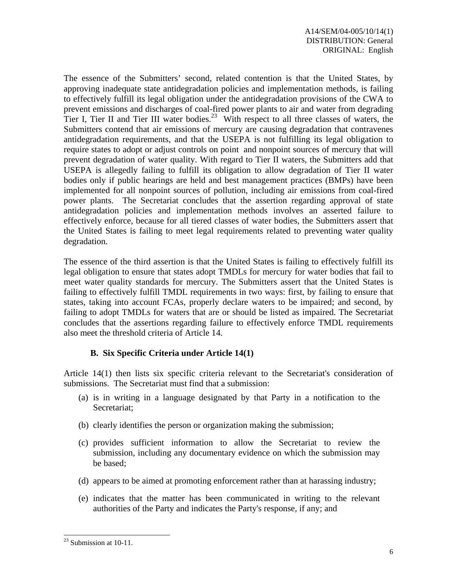The essence of the Submitters' second, related contention is that the United States, by approving inadequate state antidegradation policies and implementation methods, is failing to effectively fulfill its legal obligation under the antidegradation provisions of the CWA to prevent emissions and discharges of coal-fired power plants to air and water from degrading Tier I, Tier II and Tier III water bodies.<sup>23</sup> With respect to all three classes of waters, the Submitters contend that air emissions of mercury are causing degradation that contravenes antidegradation requirements, and that the USEPA is not fulfilling its legal obligation to require states to adopt or adjust controls on point and nonpoint sources of mercury that will prevent degradation of water quality. With regard to Tier II waters, the Submitters add that USEPA is allegedly failing to fulfill its obligation to allow degradation of Tier II water bodies only if public hearings are held and best management practices (BMPs) have been implemented for all nonpoint sources of pollution, including air emissions from coal-fired power plants. The Secretariat concludes that the assertion regarding approval of state antidegradation policies and implementation methods involves an asserted failure to effectively enforce, because for all tiered classes of water bodies, the Submitters assert that the United States is failing to meet legal requirements related to preventing water quality degradation.

The essence of the third assertion is that the United States is failing to effectively fulfill its legal obligation to ensure that states adopt TMDLs for mercury for water bodies that fail to meet water quality standards for mercury. The Submitters assert that the United States is failing to effectively fulfill TMDL requirements in two ways: first, by failing to ensure that states, taking into account FCAs, properly declare waters to be impaired; and second, by failing to adopt TMDLs for waters that are or should be listed as impaired. The Secretariat concludes that the assertions regarding failure to effectively enforce TMDL requirements also meet the threshold criteria of Article 14.

#### **B. Six Specific Criteria under Article 14(1)**

Article 14(1) then lists six specific criteria relevant to the Secretariat's consideration of submissions. The Secretariat must find that a submission:

- (a) is in writing in a language designated by that Party in a notification to the Secretariat;
- (b) clearly identifies the person or organization making the submission;
- (c) provides sufficient information to allow the Secretariat to review the submission, including any documentary evidence on which the submission may be based;
- (d) appears to be aimed at promoting enforcement rather than at harassing industry;
- (e) indicates that the matter has been communicated in writing to the relevant authorities of the Party and indicates the Party's response, if any; and

 $23$  Submission at 10-11.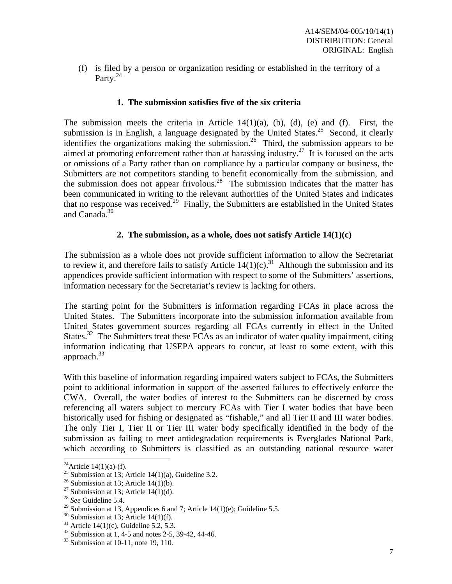(f) is filed by a person or organization residing or established in the territory of a Party. $^{24}$ 

#### **1. The submission satisfies five of the six criteria**

The submission meets the criteria in Article  $14(1)(a)$ ,  $(b)$ ,  $(d)$ ,  $(e)$  and  $(f)$ . First, the submission is in English, a language designated by the United States.<sup>25</sup> Second, it clearly identifies the organizations making the submission.<sup>26</sup> Third, the submission appears to be aimed at promoting enforcement rather than at harassing industry.<sup>27</sup> It is focused on the acts or omissions of a Party rather than on compliance by a particular company or business, the Submitters are not competitors standing to benefit economically from the submission*,* and the submission does not appear frivolous.<sup>28</sup> The submission indicates that the matter has been communicated in writing to the relevant authorities of the United States and indicates that no response was received.<sup>29</sup> Finally, the Submitters are established in the United States and Canada.<sup>30</sup>

### **2. The submission, as a whole, does not satisfy Article 14(1)(c)**

The submission as a whole does not provide sufficient information to allow the Secretariat to review it, and therefore fails to satisfy Article  $14(1)(c)$ .<sup>31</sup> Although the submission and its appendices provide sufficient information with respect to some of the Submitters' assertions, information necessary for the Secretariat's review is lacking for others.

The starting point for the Submitters is information regarding FCAs in place across the United States. The Submitters incorporate into the submission information available from United States government sources regarding all FCAs currently in effect in the United States.<sup>32</sup> The Submitters treat these FCAs as an indicator of water quality impairment, citing information indicating that USEPA appears to concur, at least to some extent, with this approach. $33$ 

With this baseline of information regarding impaired waters subject to FCAs, the Submitters point to additional information in support of the asserted failures to effectively enforce the CWA. Overall, the water bodies of interest to the Submitters can be discerned by cross referencing all waters subject to mercury FCAs with Tier I water bodies that have been historically used for fishing or designated as "fishable," and all Tier II and III water bodies. The only Tier I, Tier II or Tier III water body specifically identified in the body of the submission as failing to meet antidegradation requirements is Everglades National Park, which according to Submitters is classified as an outstanding national resource water

<sup>&</sup>lt;sup>24</sup>Article 14(1)(a)-(f).

<sup>&</sup>lt;sup>25</sup> Submission at 13; Article 14(1)(a), Guideline 3.2.

<sup>&</sup>lt;sup>26</sup> Submission at 13; Article 14(1)(b).

<sup>&</sup>lt;sup>27</sup> Submission at 13; Article 14(1)(d).

<sup>28</sup> *See* Guideline 5.4.

<sup>&</sup>lt;sup>29</sup> Submission at 13, Appendices 6 and 7; Article 14(1)(e); Guideline 5.5.

 $30$  Submission at 13; Article 14(1)(f).

<sup>&</sup>lt;sup>31</sup> Article 14(1)(c), Guideline 5.2, 5.3.

 $32$  Submission at 1, 4-5 and notes 2-5, 39-42, 44-46.

 $33$  Submission at 10-11, note 19, 110.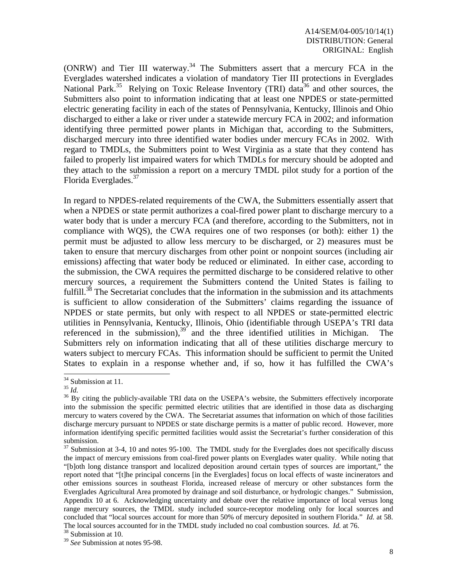(ONRW) and Tier III waterway.<sup>34</sup> The Submitters assert that a mercury FCA in the Everglades watershed indicates a violation of mandatory Tier III protections in Everglades National Park.<sup>35</sup> Relying on Toxic Release Inventory (TRI) data<sup>36</sup> and other sources, the Submitters also point to information indicating that at least one NPDES or state-permitted electric generating facility in each of the states of Pennsylvania, Kentucky, Illinois and Ohio discharged to either a lake or river under a statewide mercury FCA in 2002; and information identifying three permitted power plants in Michigan that, according to the Submitters, discharged mercury into three identified water bodies under mercury FCAs in 2002. With regard to TMDLs, the Submitters point to West Virginia as a state that they contend has failed to properly list impaired waters for which TMDLs for mercury should be adopted and they attach to the submission a report on a mercury TMDL pilot study for a portion of the Florida Everglades.<sup>37</sup>

In regard to NPDES-related requirements of the CWA, the Submitters essentially assert that when a NPDES or state permit authorizes a coal-fired power plant to discharge mercury to a water body that is under a mercury FCA (and therefore, according to the Submitters, not in compliance with WQS), the CWA requires one of two responses (or both): either 1) the permit must be adjusted to allow less mercury to be discharged, or 2) measures must be taken to ensure that mercury discharges from other point or nonpoint sources (including air emissions) affecting that water body be reduced or eliminated. In either case, according to the submission, the CWA requires the permitted discharge to be considered relative to other mercury sources, a requirement the Submitters contend the United States is failing to fulfill.<sup>38</sup> The Secretariat concludes that the information in the submission and its attachments is sufficient to allow consideration of the Submitters' claims regarding the issuance of NPDES or state permits, but only with respect to all NPDES or state-permitted electric utilities in Pennsylvania, Kentucky, Illinois, Ohio (identifiable through USEPA's TRI data referenced in the submission),  $39$  and the three identified utilities in Michigan. The Submitters rely on information indicating that all of these utilities discharge mercury to waters subject to mercury FCAs. This information should be sufficient to permit the United States to explain in a response whether and, if so, how it has fulfilled the CWA's

 $34$  Submission at 11.

<sup>&</sup>lt;sup>35</sup> *Id.* <sup>36</sup> By citing the publicly-available TRI data on the USEPA's website, the Submitters effectively incorporate into the submission the specific permitted electric utilities that are identified in those data as discharging mercury to waters covered by the CWA. The Secretariat assumes that information on which of those facilities discharge mercury pursuant to NPDES or state discharge permits is a matter of public record. However, more information identifying specific permitted facilities would assist the Secretariat's further consideration of this submission.

 $37$  Submission at 3-4, 10 and notes 95-100. The TMDL study for the Everglades does not specifically discuss the impact of mercury emissions from coal-fired power plants on Everglades water quality. While noting that "[b]oth long distance transport and localized deposition around certain types of sources are important," the report noted that "[t]he principal concerns [in the Everglades] focus on local effects of waste incinerators and other emissions sources in southeast Florida, increased release of mercury or other substances form the Everglades Agricultural Area promoted by drainage and soil disturbance, or hydrologic changes." Submission, Appendix 10 at 6. Acknowledging uncertainty and debate over the relative importance of local versus long range mercury sources, the TMDL study included source-receptor modeling only for local sources and concluded that "local sources account for more than 50% of mercury deposited in southern Florida." *Id.* at 58. The local sources accounted for in the TMDL study included no coal combustion sources. *Id.* at 76. <sup>38</sup> Submission at 10.

<sup>39</sup> *See* Submission at notes 95-98.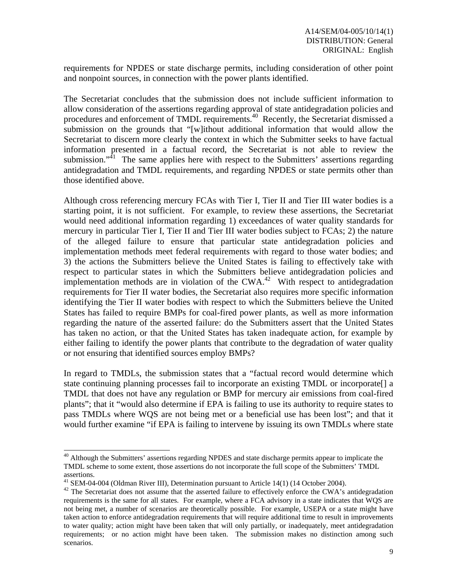requirements for NPDES or state discharge permits, including consideration of other point and nonpoint sources, in connection with the power plants identified.

The Secretariat concludes that the submission does not include sufficient information to allow consideration of the assertions regarding approval of state antidegradation policies and procedures and enforcement of TMDL requirements.<sup>40</sup> Recently, the Secretariat dismissed a submission on the grounds that "[w]ithout additional information that would allow the Secretariat to discern more clearly the context in which the Submitter seeks to have factual information presented in a factual record, the Secretariat is not able to review the submission."<sup>41</sup> The same applies here with respect to the Submitters' assertions regarding antidegradation and TMDL requirements, and regarding NPDES or state permits other than those identified above.

Although cross referencing mercury FCAs with Tier I, Tier II and Tier III water bodies is a starting point, it is not sufficient. For example, to review these assertions, the Secretariat would need additional information regarding 1) exceedances of water quality standards for mercury in particular Tier I, Tier II and Tier III water bodies subject to FCAs; 2) the nature of the alleged failure to ensure that particular state antidegradation policies and implementation methods meet federal requirements with regard to those water bodies; and 3) the actions the Submitters believe the United States is failing to effectively take with respect to particular states in which the Submitters believe antidegradation policies and implementation methods are in violation of the CWA.<sup>42</sup> With respect to antidegradation requirements for Tier II water bodies, the Secretariat also requires more specific information identifying the Tier II water bodies with respect to which the Submitters believe the United States has failed to require BMPs for coal-fired power plants, as well as more information regarding the nature of the asserted failure: do the Submitters assert that the United States has taken no action, or that the United States has taken inadequate action, for example by either failing to identify the power plants that contribute to the degradation of water quality or not ensuring that identified sources employ BMPs?

In regard to TMDLs, the submission states that a "factual record would determine which state continuing planning processes fail to incorporate an existing TMDL or incorporate[] a TMDL that does not have any regulation or BMP for mercury air emissions from coal-fired plants"; that it "would also determine if EPA is failing to use its authority to require states to pass TMDLs where WQS are not being met or a beneficial use has been lost"; and that it would further examine "if EPA is failing to intervene by issuing its own TMDLs where state

<sup>&</sup>lt;sup>40</sup> Although the Submitters' assertions regarding NPDES and state discharge permits appear to implicate the TMDL scheme to some extent, those assertions do not incorporate the full scope of the Submitters' TMDL assertions.

 $41$  SEM-04-004 (Oldman River III), Determination pursuant to Article 14(1) (14 October 2004).

<sup>&</sup>lt;sup>42</sup> The Secretariat does not assume that the asserted failure to effectively enforce the CWA's antidegradation requirements is the same for all states. For example, where a FCA advisory in a state indicates that WQS are not being met, a number of scenarios are theoretically possible. For example, USEPA or a state might have taken action to enforce antidegradation requirements that will require additional time to result in improvements to water quality; action might have been taken that will only partially, or inadequately, meet antidegradation requirements; or no action might have been taken. The submission makes no distinction among such scenarios.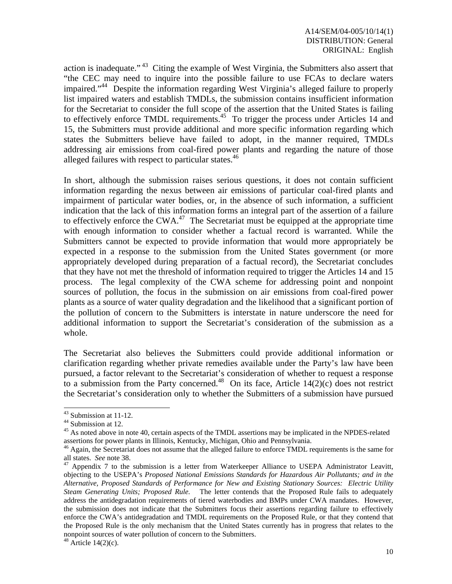action is inadequate." 43 Citing the example of West Virginia, the Submitters also assert that "the CEC may need to inquire into the possible failure to use FCAs to declare waters impaired."<sup>44</sup> Despite the information regarding West Virginia's alleged failure to properly list impaired waters and establish TMDLs, the submission contains insufficient information for the Secretariat to consider the full scope of the assertion that the United States is failing to effectively enforce TMDL requirements.<sup>45</sup> To trigger the process under Articles 14 and 15, the Submitters must provide additional and more specific information regarding which states the Submitters believe have failed to adopt, in the manner required, TMDLs addressing air emissions from coal-fired power plants and regarding the nature of those alleged failures with respect to particular states.<sup>46</sup>

In short, although the submission raises serious questions, it does not contain sufficient information regarding the nexus between air emissions of particular coal-fired plants and impairment of particular water bodies, or, in the absence of such information, a sufficient indication that the lack of this information forms an integral part of the assertion of a failure to effectively enforce the CWA.<sup>47</sup> The Secretariat must be equipped at the appropriate time with enough information to consider whether a factual record is warranted. While the Submitters cannot be expected to provide information that would more appropriately be expected in a response to the submission from the United States government (or more appropriately developed during preparation of a factual record), the Secretariat concludes that they have not met the threshold of information required to trigger the Articles 14 and 15 process. The legal complexity of the CWA scheme for addressing point and nonpoint sources of pollution, the focus in the submission on air emissions from coal-fired power plants as a source of water quality degradation and the likelihood that a significant portion of the pollution of concern to the Submitters is interstate in nature underscore the need for additional information to support the Secretariat's consideration of the submission as a whole.

The Secretariat also believes the Submitters could provide additional information or clarification regarding whether private remedies available under the Party's law have been pursued, a factor relevant to the Secretariat's consideration of whether to request a response to a submission from the Party concerned.<sup>48</sup> On its face, Article 14(2)(c) does not restrict the Secretariat's consideration only to whether the Submitters of a submission have pursued

 $43$  Submission at 11-12.

<sup>&</sup>lt;sup>44</sup> Submission at 12.

<sup>&</sup>lt;sup>45</sup> As noted above in note 40, certain aspects of the TMDL assertions may be implicated in the NPDES-related

assertions for power plants in Illinois, Kentucky, Michigan, Ohio and Pennsylvania.  $46$  Again, the Secretariat does not assume that the alleged failure to enforce TMDL requirements is the same for all states. *See* note

<sup>&</sup>lt;sup>47</sup> Appendix 7 to the submission is a letter from Waterkeeper Alliance to USEPA Administrator Leavitt, objecting to the USEPA's *Proposed National Emissions Standards for Hazardous Air Pollutants; and in the Alternative, Proposed Standards of Performance for New and Existing Stationary Sources: Electric Utility Steam Generating Units; Proposed Rule.* The letter contends that the Proposed Rule fails to adequately address the antidegradation requirements of tiered waterbodies and BMPs under CWA mandates. However, the submission does not indicate that the Submitters focus their assertions regarding failure to effectively enforce the CWA's antidegradation and TMDL requirements on the Proposed Rule, or that they contend that the Proposed Rule is the only mechanism that the United States currently has in progress that relates to the nonpoint sources of water pollution of concern to the Submitters.

 $48$  Article 14(2)(c).